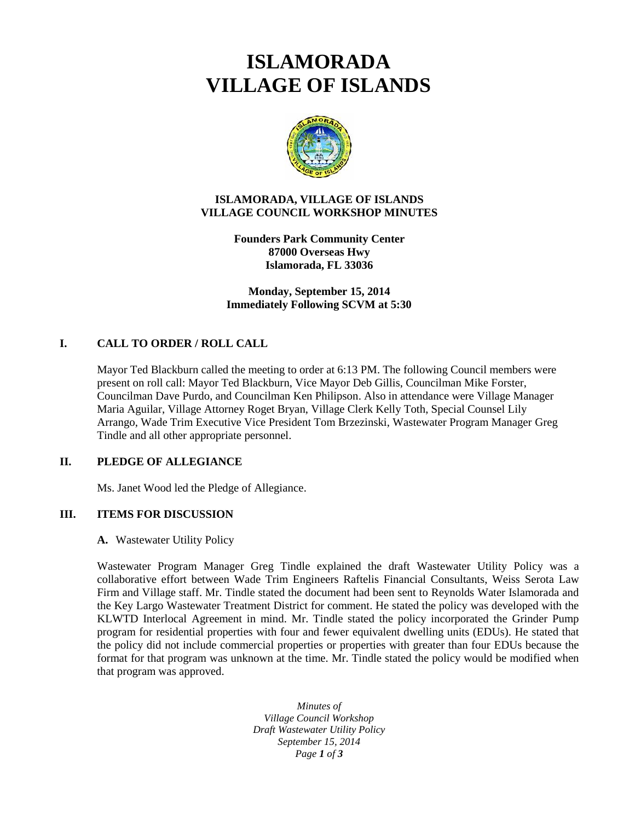# **ISLAMORADA VILLAGE OF ISLANDS**



### **ISLAMORADA, VILLAGE OF ISLANDS VILLAGE COUNCIL WORKSHOP MINUTES**

**Founders Park Community Center 87000 Overseas Hwy Islamorada, FL 33036**

**Monday, September 15, 2014 Immediately Following SCVM at 5:30**

## **I. CALL TO ORDER / ROLL CALL**

Mayor Ted Blackburn called the meeting to order at 6:13 PM. The following Council members were present on roll call: Mayor Ted Blackburn, Vice Mayor Deb Gillis, Councilman Mike Forster, Councilman Dave Purdo, and Councilman Ken Philipson. Also in attendance were Village Manager Maria Aguilar, Village Attorney Roget Bryan, Village Clerk Kelly Toth, Special Counsel Lily Arrango, Wade Trim Executive Vice President Tom Brzezinski, Wastewater Program Manager Greg Tindle and all other appropriate personnel.

## **II. PLEDGE OF ALLEGIANCE**

Ms. Janet Wood led the Pledge of Allegiance.

### **III. ITEMS FOR DISCUSSION**

#### **A.** Wastewater Utility Policy

Wastewater Program Manager Greg Tindle explained the draft Wastewater Utility Policy was a collaborative effort between Wade Trim Engineers Raftelis Financial Consultants, Weiss Serota Law Firm and Village staff. Mr. Tindle stated the document had been sent to Reynolds Water Islamorada and the Key Largo Wastewater Treatment District for comment. He stated the policy was developed with the KLWTD Interlocal Agreement in mind. Mr. Tindle stated the policy incorporated the Grinder Pump program for residential properties with four and fewer equivalent dwelling units (EDUs). He stated that the policy did not include commercial properties or properties with greater than four EDUs because the format for that program was unknown at the time. Mr. Tindle stated the policy would be modified when that program was approved.

> *Minutes of Village Council Workshop Draft Wastewater Utility Policy September 15, 2014 Page 1 of 3*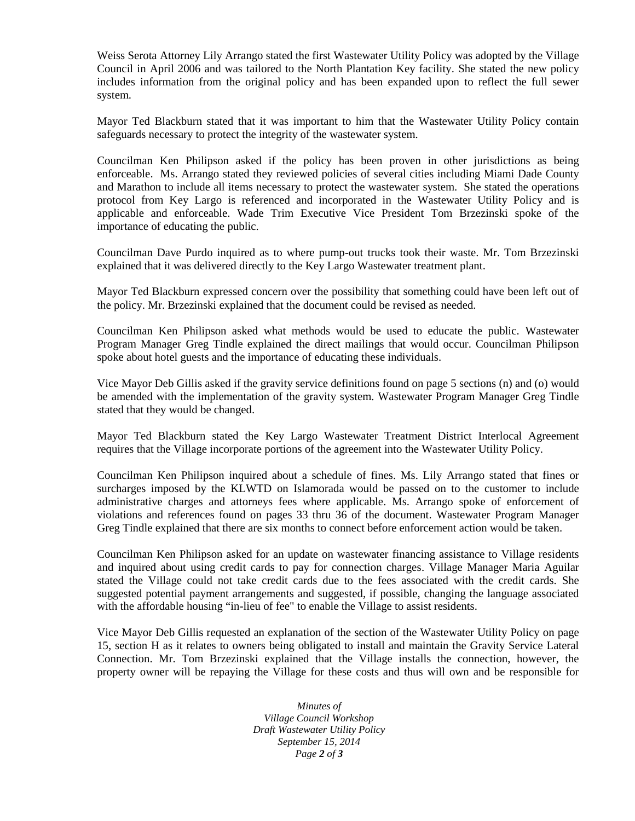Weiss Serota Attorney Lily Arrango stated the first Wastewater Utility Policy was adopted by the Village Council in April 2006 and was tailored to the North Plantation Key facility. She stated the new policy includes information from the original policy and has been expanded upon to reflect the full sewer system.

Mayor Ted Blackburn stated that it was important to him that the Wastewater Utility Policy contain safeguards necessary to protect the integrity of the wastewater system.

Councilman Ken Philipson asked if the policy has been proven in other jurisdictions as being enforceable. Ms. Arrango stated they reviewed policies of several cities including Miami Dade County and Marathon to include all items necessary to protect the wastewater system. She stated the operations protocol from Key Largo is referenced and incorporated in the Wastewater Utility Policy and is applicable and enforceable. Wade Trim Executive Vice President Tom Brzezinski spoke of the importance of educating the public.

Councilman Dave Purdo inquired as to where pump-out trucks took their waste. Mr. Tom Brzezinski explained that it was delivered directly to the Key Largo Wastewater treatment plant.

Mayor Ted Blackburn expressed concern over the possibility that something could have been left out of the policy. Mr. Brzezinski explained that the document could be revised as needed.

Councilman Ken Philipson asked what methods would be used to educate the public. Wastewater Program Manager Greg Tindle explained the direct mailings that would occur. Councilman Philipson spoke about hotel guests and the importance of educating these individuals.

Vice Mayor Deb Gillis asked if the gravity service definitions found on page 5 sections (n) and (o) would be amended with the implementation of the gravity system. Wastewater Program Manager Greg Tindle stated that they would be changed.

Mayor Ted Blackburn stated the Key Largo Wastewater Treatment District Interlocal Agreement requires that the Village incorporate portions of the agreement into the Wastewater Utility Policy.

Councilman Ken Philipson inquired about a schedule of fines. Ms. Lily Arrango stated that fines or surcharges imposed by the KLWTD on Islamorada would be passed on to the customer to include administrative charges and attorneys fees where applicable. Ms. Arrango spoke of enforcement of violations and references found on pages 33 thru 36 of the document. Wastewater Program Manager Greg Tindle explained that there are six months to connect before enforcement action would be taken.

Councilman Ken Philipson asked for an update on wastewater financing assistance to Village residents and inquired about using credit cards to pay for connection charges. Village Manager Maria Aguilar stated the Village could not take credit cards due to the fees associated with the credit cards. She suggested potential payment arrangements and suggested, if possible, changing the language associated with the affordable housing "in-lieu of fee" to enable the Village to assist residents.

Vice Mayor Deb Gillis requested an explanation of the section of the Wastewater Utility Policy on page 15, section H as it relates to owners being obligated to install and maintain the Gravity Service Lateral Connection. Mr. Tom Brzezinski explained that the Village installs the connection, however, the property owner will be repaying the Village for these costs and thus will own and be responsible for

> *Minutes of Village Council Workshop Draft Wastewater Utility Policy September 15, 2014 Page 2 of 3*